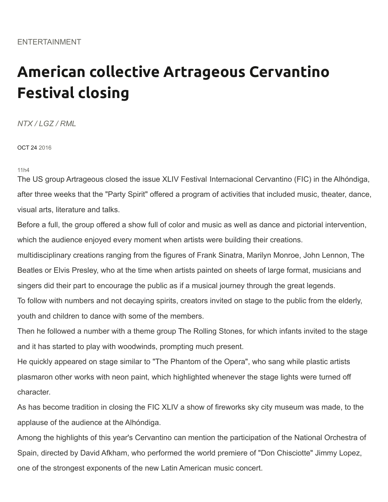## **American collective Artrageous Cervantino Festival closing**

*NTX / LGZ / RML*

OCT 24 2016

11h4

The US group Artrageous closed the issue XLIV Festival Internacional Cervantino (FIC) in the Alhóndiga, after three weeks that the "Party Spirit" offered a program of activities that included music, theater, dance, visual arts, literature and talks[.](https://entretenimiento.terra.com/espana-aportara-diversas-actividades-al-festival-cervantino,21ddfdcce97bc726263d32cdcfaed7551qjht08k.html)

Before a full, the group offered a show full of color and music as well as dance and pictorial intervention, which the audience enjoyed every moment when artists were building their creations.

multidisciplinary creations ranging from the figures of Frank Sinatra, Marilyn Monroe, John Lennon, The Beatles or Elvis Presley, who at the time when artists painted on sheets of large format, musicians and singers did their part to encourage the public as if a musical journey through the great legends.

To follow with numbers and not decaying spirits, creators invited on stage to the public from the elderly, youth and children to dance with some of the members.

Then he followed a number with a theme group The Rolling Stones, for which infants invited to the stage and it has started to play with woodwinds, prompting much present.

He quickly appeared on stage similar to "The Phantom of the Opera", who sang while plastic artists plasmaron other works with neon paint, which highlighted whenever the stage lights were turned off **character** 

As has become tradition in closing the FIC XLIV a show of fireworks sky city museum was made, to the applause of the audience at the Alhóndiga.

Among the highlights of this year's Cervantino can mention the participation of the National Orchestra of Spain, directed by David Afkham, who performed the world premiere of "Don Chisciotte" Jimmy Lopez, one of the strongest exponents of the new Latin American music concert.